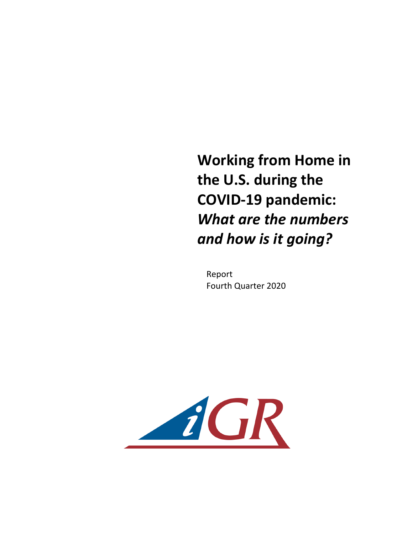**Working from Home in the U.S. during the COVID-19 pandemic:**  *What are the numbers and how is it going?* 

Report Fourth Quarter 2020

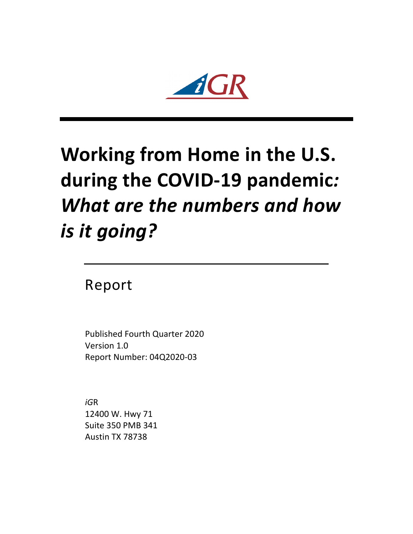

## **Working from Home in the U.S.** during the COVID-19 pandemic: **What are the numbers and how** *is it going?*

Report

Published Fourth Quarter 2020 Version 1.0 Report Number: 04Q2020-03

*iG*R 12400 W. Hwy 71 Suite 350 PMB 341 Austin TX 78738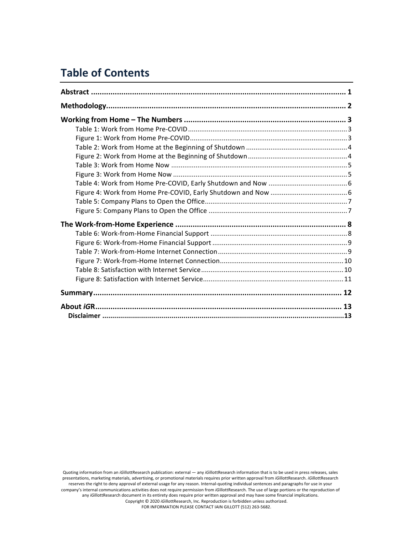## **Table of Contents**